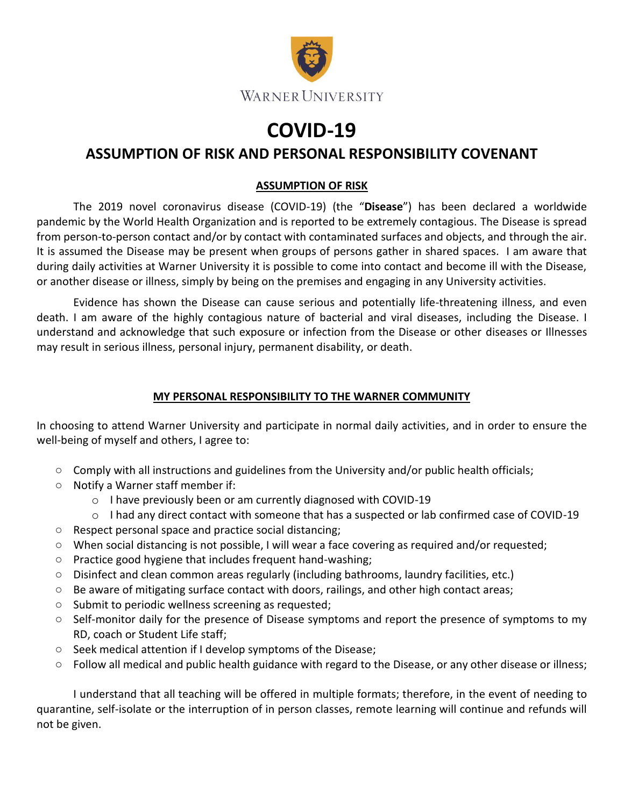

## **COVID-19**

## **ASSUMPTION OF RISK AND PERSONAL RESPONSIBILITY COVENANT**

## **ASSUMPTION OF RISK**

The 2019 novel coronavirus disease (COVID-19) (the "**Disease**") has been declared a worldwide pandemic by the World Health Organization and is reported to be extremely contagious. The Disease is spread from person-to-person contact and/or by contact with contaminated surfaces and objects, and through the air. It is assumed the Disease may be present when groups of persons gather in shared spaces. I am aware that during daily activities at Warner University it is possible to come into contact and become ill with the Disease, or another disease or illness, simply by being on the premises and engaging in any University activities.

Evidence has shown the Disease can cause serious and potentially life-threatening illness, and even death. I am aware of the highly contagious nature of bacterial and viral diseases, including the Disease. I understand and acknowledge that such exposure or infection from the Disease or other diseases or Illnesses may result in serious illness, personal injury, permanent disability, or death.

## **MY PERSONAL RESPONSIBILITY TO THE WARNER COMMUNITY**

In choosing to attend Warner University and participate in normal daily activities, and in order to ensure the well-being of myself and others, I agree to:

- Comply with all instructions and guidelines from the University and/or public health officials;
- Notify a Warner staff member if:
	- o I have previously been or am currently diagnosed with COVID-19
	- o I had any direct contact with someone that has a suspected or lab confirmed case of COVID-19
- Respect personal space and practice social distancing;
- When social distancing is not possible, I will wear a face covering as required and/or requested;
- Practice good hygiene that includes frequent hand-washing;
- Disinfect and clean common areas regularly (including bathrooms, laundry facilities, etc.)
- Be aware of mitigating surface contact with doors, railings, and other high contact areas;
- Submit to periodic wellness screening as requested;
- Self-monitor daily for the presence of Disease symptoms and report the presence of symptoms to my RD, coach or Student Life staff;
- Seek medical attention if I develop symptoms of the Disease;
- Follow all medical and public health guidance with regard to the Disease, or any other disease or illness;

I understand that all teaching will be offered in multiple formats; therefore, in the event of needing to quarantine, self-isolate or the interruption of in person classes, remote learning will continue and refunds will not be given.